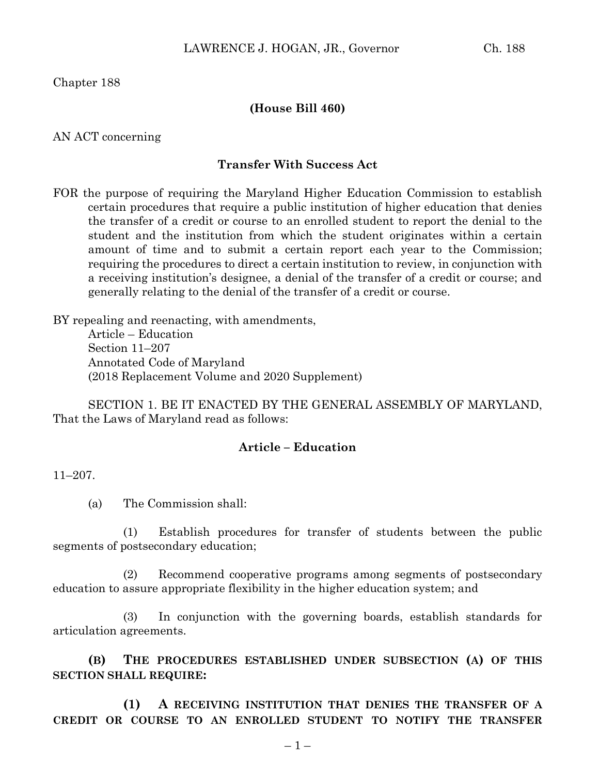Chapter 188

## **(House Bill 460)**

AN ACT concerning

## **Transfer With Success Act**

FOR the purpose of requiring the Maryland Higher Education Commission to establish certain procedures that require a public institution of higher education that denies the transfer of a credit or course to an enrolled student to report the denial to the student and the institution from which the student originates within a certain amount of time and to submit a certain report each year to the Commission; requiring the procedures to direct a certain institution to review, in conjunction with a receiving institution's designee, a denial of the transfer of a credit or course; and generally relating to the denial of the transfer of a credit or course.

BY repealing and reenacting, with amendments, Article – Education Section 11–207 Annotated Code of Maryland (2018 Replacement Volume and 2020 Supplement)

SECTION 1. BE IT ENACTED BY THE GENERAL ASSEMBLY OF MARYLAND, That the Laws of Maryland read as follows:

## **Article – Education**

11–207.

(a) The Commission shall:

(1) Establish procedures for transfer of students between the public segments of postsecondary education;

(2) Recommend cooperative programs among segments of postsecondary education to assure appropriate flexibility in the higher education system; and

(3) In conjunction with the governing boards, establish standards for articulation agreements.

**(B) THE PROCEDURES ESTABLISHED UNDER SUBSECTION (A) OF THIS SECTION SHALL REQUIRE:**

**(1) A RECEIVING INSTITUTION THAT DENIES THE TRANSFER OF A CREDIT OR COURSE TO AN ENROLLED STUDENT TO NOTIFY THE TRANSFER**